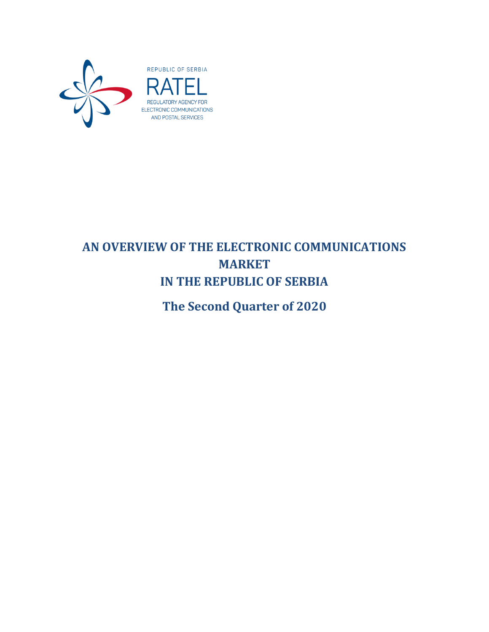

# **AN OVERVIEW OF THE ELECTRONIC COMMUNICATIONS MARKET IN THE REPUBLIC OF SERBIA**

**The Second Quarter of 2020**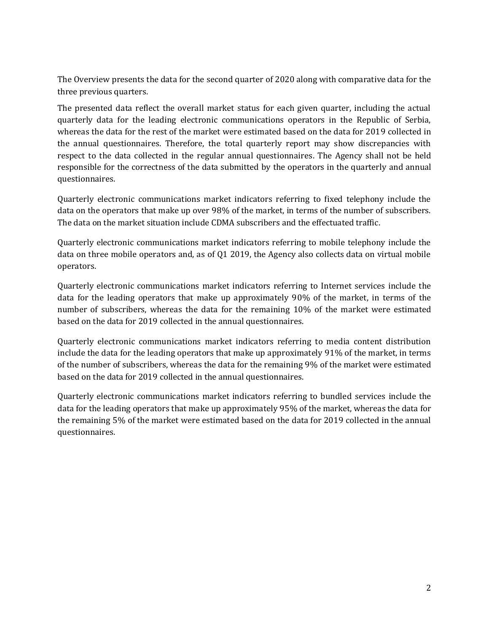The Overview presents the data for the second quarter of 2020 along with comparative data for the three previous quarters.

The presented data reflect the overall market status for each given quarter, including the actual quarterly data for the leading electronic communications operators in the Republic of Serbia, whereas the data for the rest of the market were estimated based on the data for 2019 collected in the annual questionnaires. Therefore, the total quarterly report may show discrepancies with respect to the data collected in the regular annual questionnaires. The Agency shall not be held responsible for the correctness of the data submitted by the operators in the quarterly and annual questionnaires.

Quarterly electronic communications market indicators referring to fixed telephony include the data on the operators that make up over 98% of the market, in terms of the number of subscribers. The data on the market situation include CDMA subscribers and the effectuated traffic.

Quarterly electronic communications market indicators referring to mobile telephony include the data on three mobile operators and, as of Q1 2019, the Agency also collects data on virtual mobile operators.

Quarterly electronic communications market indicators referring to Internet services include the data for the leading operators that make up approximately 90% of the market, in terms of the number of subscribers, whereas the data for the remaining 10% of the market were estimated based on the data for 2019 collected in the annual questionnaires.

Quarterly electronic communications market indicators referring to media content distribution include the data for the leading operators that make up approximately 91% of the market, in terms of the number of subscribers, whereas the data for the remaining 9% of the market were estimated based on the data for 2019 collected in the annual questionnaires.

Quarterly electronic communications market indicators referring to bundled services include the data for the leading operators that make up approximately 95% of the market, whereas the data for the remaining 5% of the market were estimated based on the data for 2019 collected in the annual questionnaires.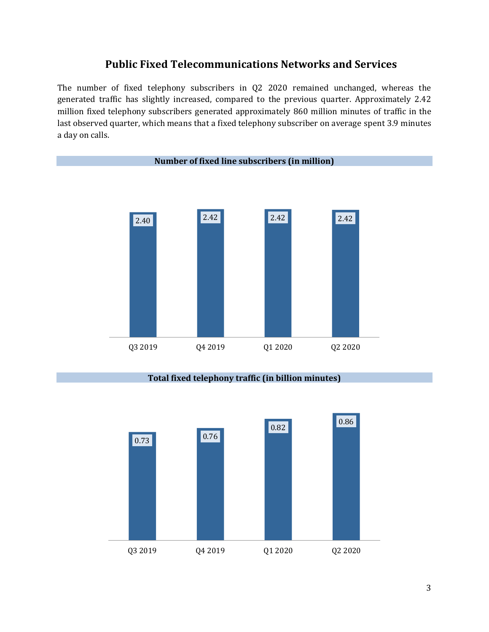## **Public Fixed Telecommunications Networks and Services**

The number of fixed telephony subscribers in Q2 2020 remained unchanged, whereas the generated traffic has slightly increased, compared to the previous quarter. Approximately 2.42 million fixed telephony subscribers generated approximately 860 million minutes of traffic in the last observed quarter, which means that a fixed telephony subscriber on average spent 3.9 minutes a day on calls.



#### **Total fixed telephony traffic (in billion minutes)**

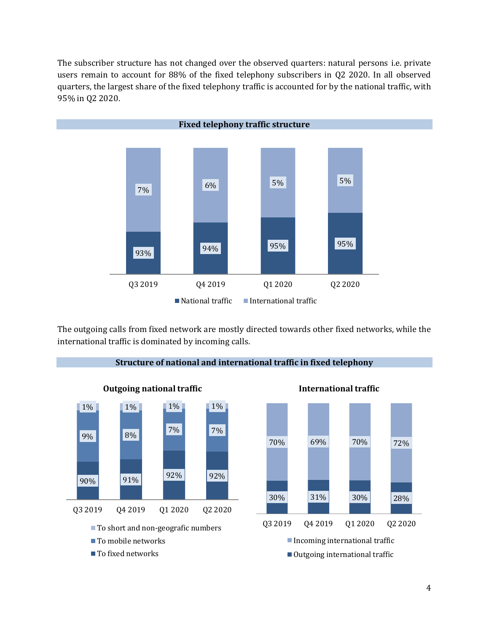The subscriber structure has not changed over the observed quarters: natural persons i.e. private users remain to account for 88% of the fixed telephony subscribers in Q2 2020. In all observed quarters, the largest share of the fixed telephony traffic is accounted for by the national traffic, with 95% in Q2 2020.



The outgoing calls from fixed network are mostly directed towards other fixed networks, while the international traffic is dominated by incoming calls.



**Structure of national and international traffic in fixed telephony**



#### **International traffic**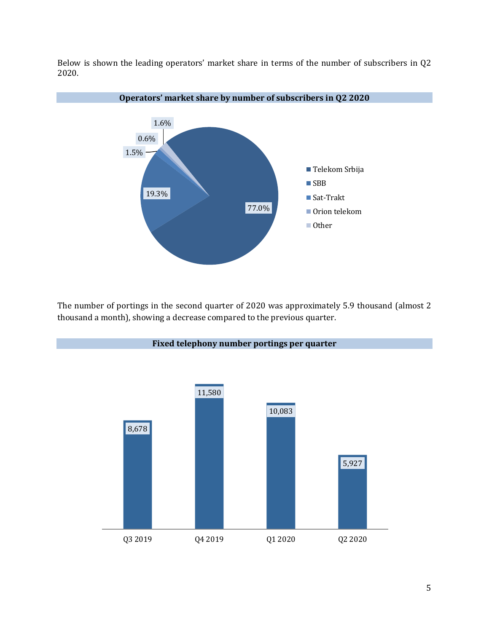Below is shown the leading operators' market share in terms of the number of subscribers in Q2 2020.



The number of portings in the second quarter of 2020 was approximately 5.9 thousand (almost 2 thousand a month), showing a decrease compared to the previous quarter.

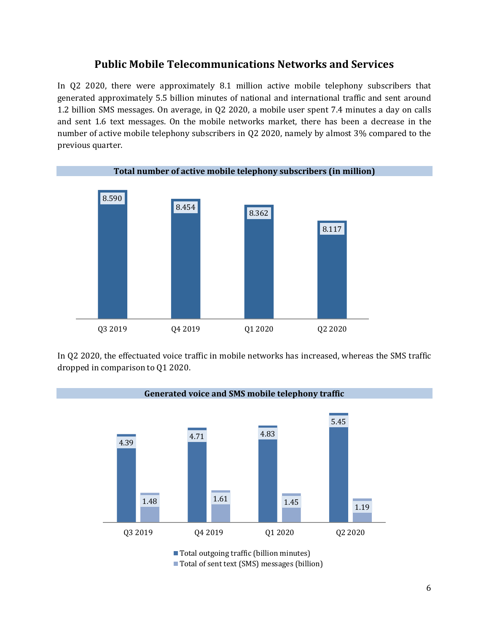#### **Public Mobile Telecommunications Networks and Services**

In Q2 2020, there were approximately 8.1 million active mobile telephony subscribers that generated approximately 5.5 billion minutes of national and international traffic and sent around 1.2 billion SMS messages. On average, in Q2 2020, a mobile user spent 7.4 minutes a day on calls and sent 1.6 text messages. On the mobile networks market, there has been a decrease in the number of active mobile telephony subscribers in Q2 2020, namely by almost 3% compared to the previous quarter.



In Q2 2020, the effectuated voice traffic in mobile networks has increased, whereas the SMS traffic dropped in comparison to Q1 2020.

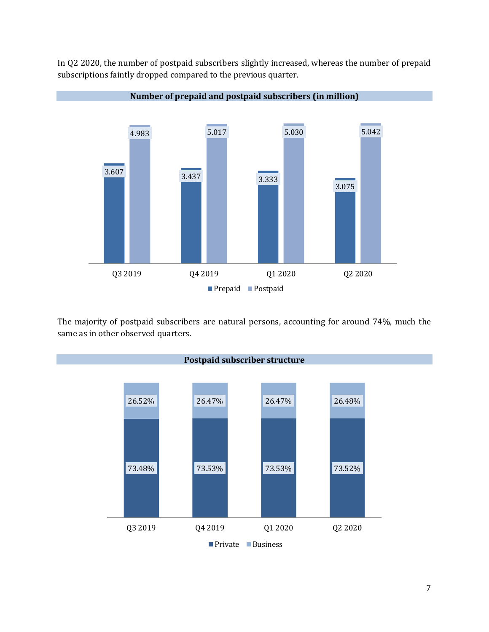



The majority of postpaid subscribers are natural persons, accounting for around 74%, much the same as in other observed quarters.

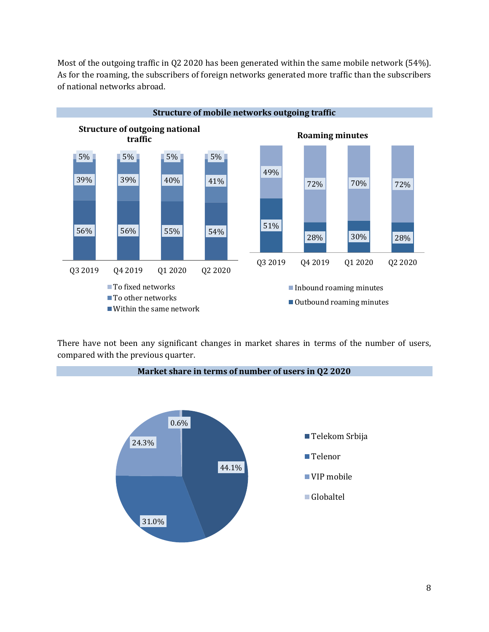Most of the outgoing traffic in Q2 2020 has been generated within the same mobile network (54%). As for the roaming, the subscribers of foreign networks generated more traffic than the subscribers of national networks abroad.



There have not been any significant changes in market shares in terms of the number of users, compared with the previous quarter.

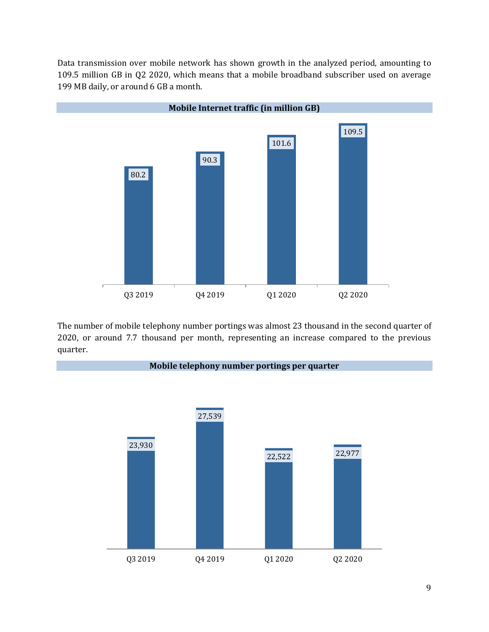Data transmission over mobile network has shown growth in the analyzed period, amounting to 109.5 million GB in Q2 2020, which means that a mobile broadband subscriber used on average 199 MB daily, or around 6 GB a month.



The number of mobile telephony number portings was almost 23 thousand in the second quarter of 2020, or around 7.7 thousand per month, representing an increase compared to the previous quarter.

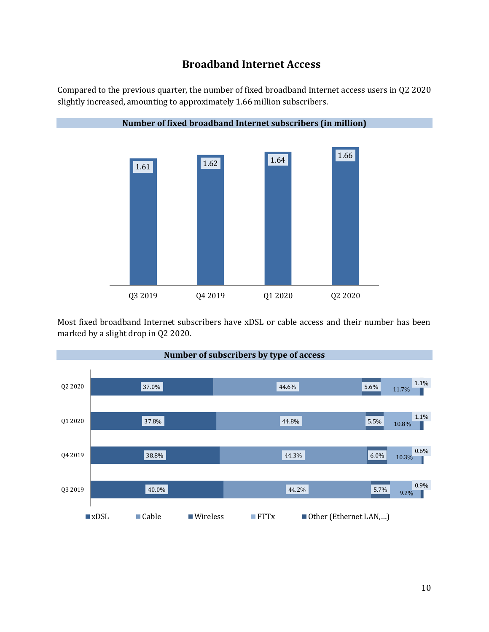### **Broadband Internet Access**

Compared to the previous quarter, the number of fixed broadband Internet access users in Q2 2020 slightly increased, amounting to approximately 1.66 million subscribers.



Most fixed broadband Internet subscribers have xDSL or cable access and their number has been marked by a slight drop in Q2 2020.

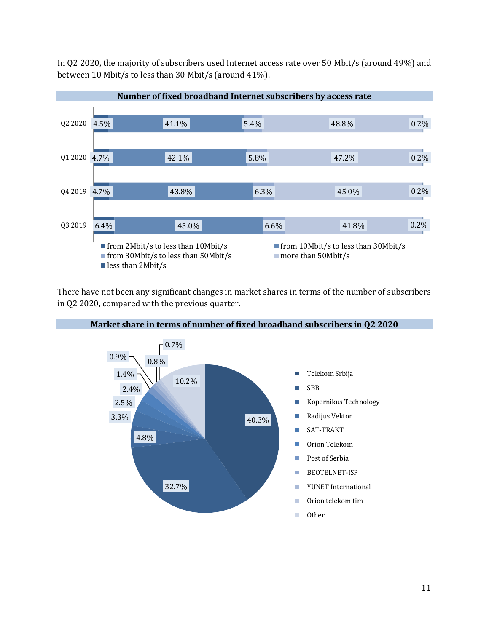In Q2 2020, the majority of subscribers used Internet access rate over 50 Mbit/s (around 49%) and between 10 Mbit/s to less than 30 Mbit/s (around 41%).



There have not been any significant changes in market shares in terms of the number of subscribers in Q2 2020, compared with the previous quarter.

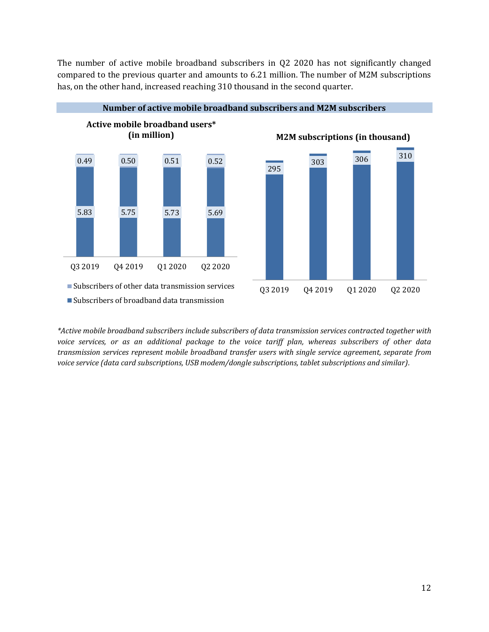The number of active mobile broadband subscribers in Q2 2020 has not significantly changed compared to the previous quarter and amounts to 6.21 million. The number of M2M subscriptions has, on the other hand, increased reaching 310 thousand in the second quarter.





*\*Active mobile broadband subscribers include subscribers of data transmission services contracted together with voice services, or as an additional package to the voice tariff plan, whereas subscribers of other data transmission services represent mobile broadband transfer users with single service agreement, separate from voice service (data card subscriptions, USB modem/dongle subscriptions, tablet subscriptions and similar).* 

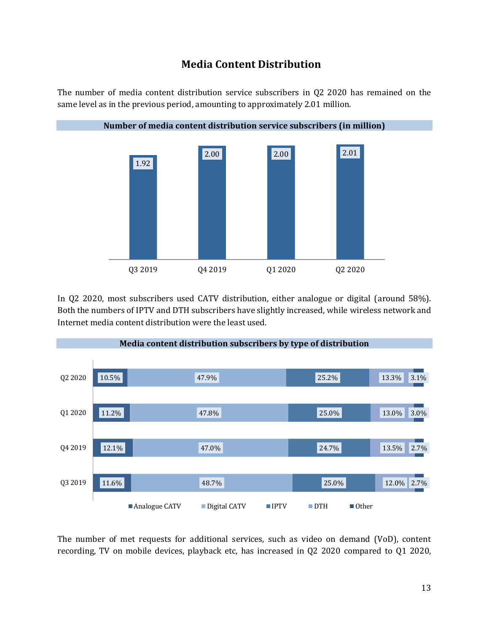#### **Media Content Distribution**

The number of media content distribution service subscribers in Q2 2020 has remained on the same level as in the previous period, amounting to approximately 2.01 million.



In Q2 2020, most subscribers used CATV distribution, either analogue or digital (around 58%). Both the numbers of IPTV and DTH subscribers have slightly increased, while wireless network and Internet media content distribution were the least used.



The number of met requests for additional services, such as video on demand (VoD), content recording, TV on mobile devices, playback etc, has increased in Q2 2020 compared to Q1 2020,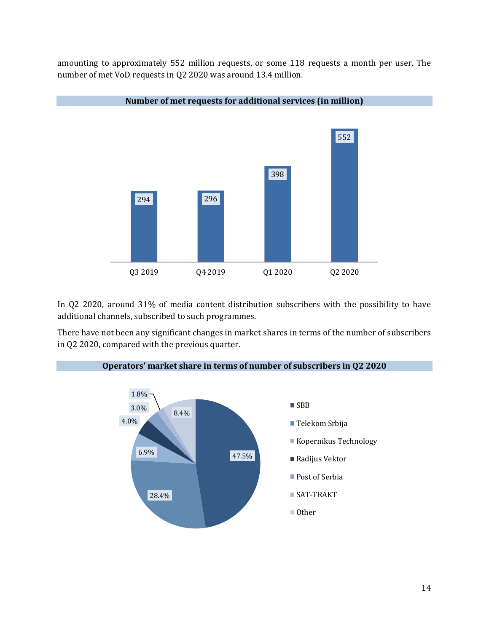amounting to approximately 552 million requests, or some 118 requests a month per user. The number of met VoD requests in Q2 2020 was around 13.4 million.



In Q2 2020, around 31% of media content distribution subscribers with the possibility to have additional channels, subscribed to such programmes.

There have not been any significant changes in market shares in terms of the number of subscribers in Q2 2020, compared with the previous quarter.

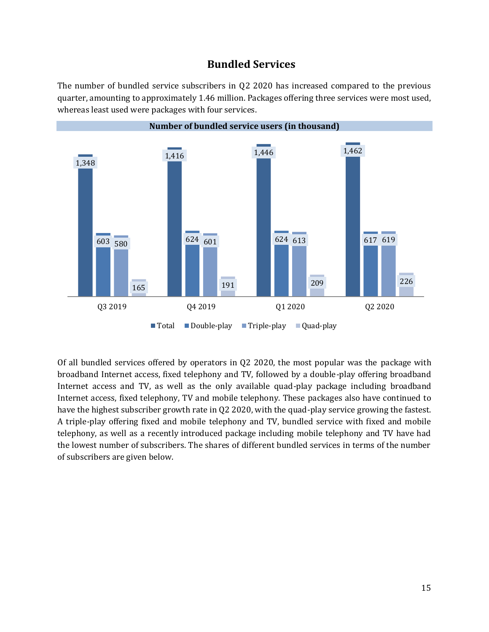#### **Bundled Services**

The number of bundled service subscribers in Q2 2020 has increased compared to the previous quarter, amounting to approximately 1.46 million. Packages offering three services were most used, whereas least used were packages with four services.



Of all bundled services offered by operators in Q2 2020, the most popular was the package with broadband Internet access, fixed telephony and TV, followed by a double-play offering broadband Internet access and TV, as well as the only available quad-play package including broadband Internet access, fixed telephony, TV and mobile telephony. These packages also have continued to have the highest subscriber growth rate in Q2 2020, with the quad-play service growing the fastest. A triple-play offering fixed and mobile telephony and TV, bundled service with fixed and mobile telephony, as well as a recently introduced package including mobile telephony and TV have had the lowest number of subscribers. The shares of different bundled services in terms of the number of subscribers are given below.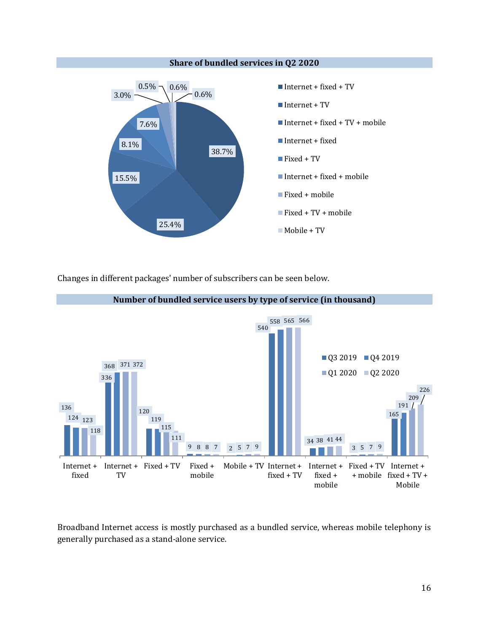

Changes in different packages' number of subscribers can be seen below.



Broadband Internet access is mostly purchased as a bundled service, whereas mobile telephony is generally purchased as a stand-alone service.